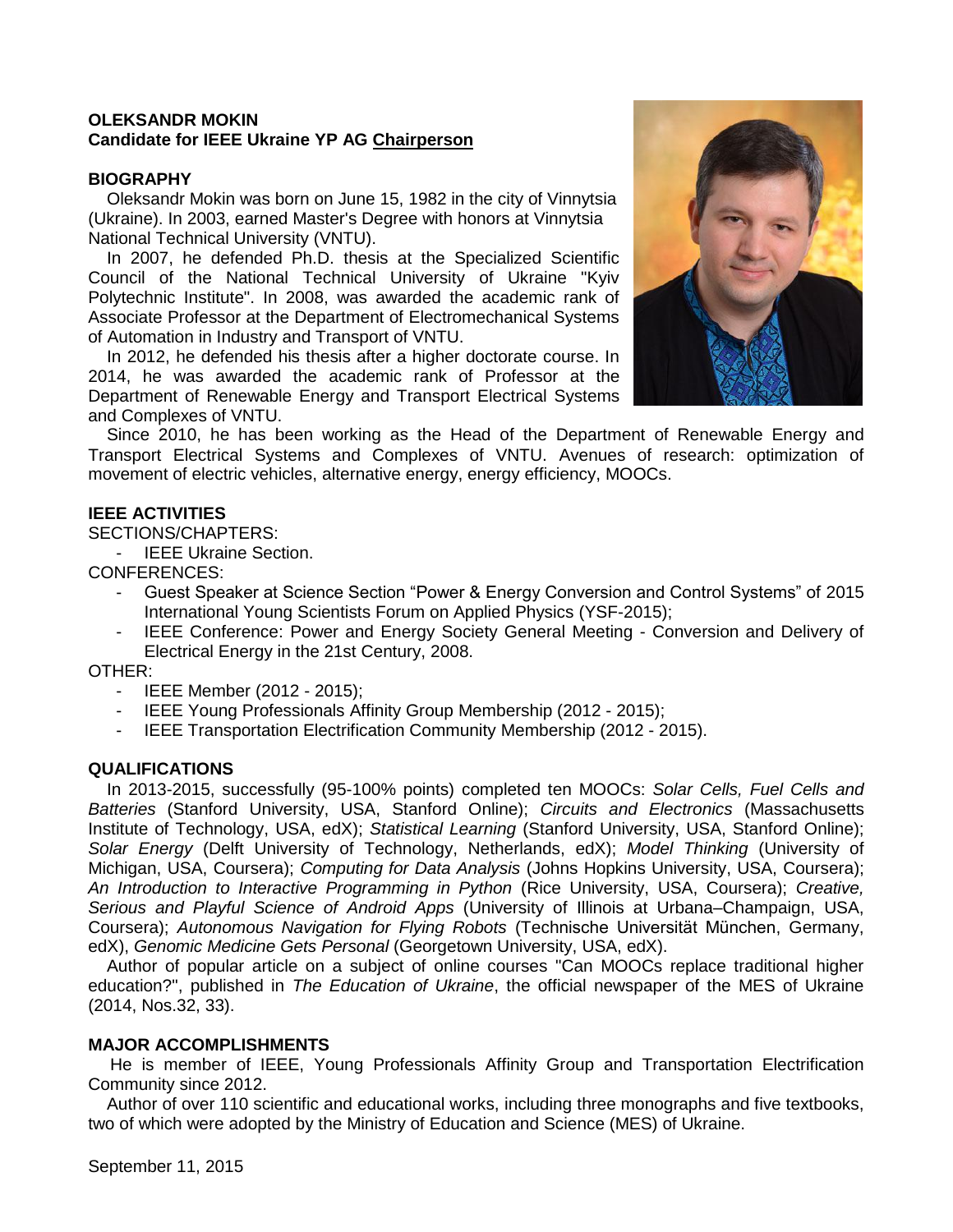## **OLEKSANDR MOKIN Candidate for IEEE Ukraine YP AG Chairperson**

### **BIOGRAPHY**

Oleksandr Mokin was born on June 15, 1982 in the city of Vinnytsia (Ukraine). In 2003, earned Master's Degree with honors at Vinnytsia National Technical University (VNTU).

In 2007, he defended Ph.D. thesis at the Specialized Scientific Council of the National Technical University of Ukraine "Kyiv Polytechnic Institute". In 2008, was awarded the academic rank of Associate Professor at the Department of Electromechanical Systems of Automation in Industry and Transport of VNTU.

In 2012, he defended his thesis after a higher doctorate course. In 2014, he was awarded the academic rank of Professor at the Department of Renewable Energy and Transport Electrical Systems and Complexes of VNTU.



Since 2010, he has been working as the Head of the Department of Renewable Energy and Transport Electrical Systems and Complexes of VNTU. Avenues of research: optimization of movement of electric vehicles, alternative energy, energy efficiency, MOOCs.

### **IEEE ACTIVITIES**

SECTIONS/CHAPTERS:

- IEEE Ukraine Section.

CONFERENCES:

- Guest Speaker at Science Section "Power & Energy Conversion and Control Systems" of 2015 International Young Scientists Forum on Applied Physics (YSF-2015);
- IEEE Conference: Power and Energy Society General Meeting Conversion and Delivery of Electrical Energy in the 21st Century, 2008.

#### OTHER:

- IEEE Member (2012 2015);
- IEEE Young Professionals Affinity Group Membership (2012 2015);
- IEEE Transportation Electrification Community Membership (2012 2015).

## **QUALIFICATIONS**

In 2013-2015, successfully (95-100% points) completed ten MOOCs: *Solar Cells, Fuel Cells and Batteries* (Stanford University, USA, Stanford Online); *Circuits and Electronics* (Massachusetts Institute of Technology, USA, edX); *Statistical Learning* (Stanford University, USA, Stanford Online); *Solar Energy* (Delft University of Technology, Netherlands, edX); *Model Thinking* (University of Michigan, USA, Coursera); *Computing for Data Analysis* (Johns Hopkins University, USA, Coursera); *An Introduction to Interactive Programming in Python* (Rice University, USA, Coursera); *Creative, Serious and Playful Science of Android Apps* (University of Illinois at Urbana–Champaign, USA, Coursera); *Autonomous Navigation for Flying Robots* (Technische Universität München, Germany, edX), *Genomic Medicine Gets Personal* (Georgetown University, USA, edX).

Author of popular article on a subject of online courses "Can MOOCs replace traditional higher education?", published in *The Education of Ukraine*, the official newspaper of the MES of Ukraine (2014, Nos.32, 33).

## **MAJOR ACCOMPLISHMENTS**

He is member of IEEE, Young Professionals Affinity Group and Transportation Electrification Community since 2012.

Author of over 110 scientific and educational works, including three monographs and five textbooks, two of which were adopted by the Ministry of Education and Science (MES) of Ukraine.